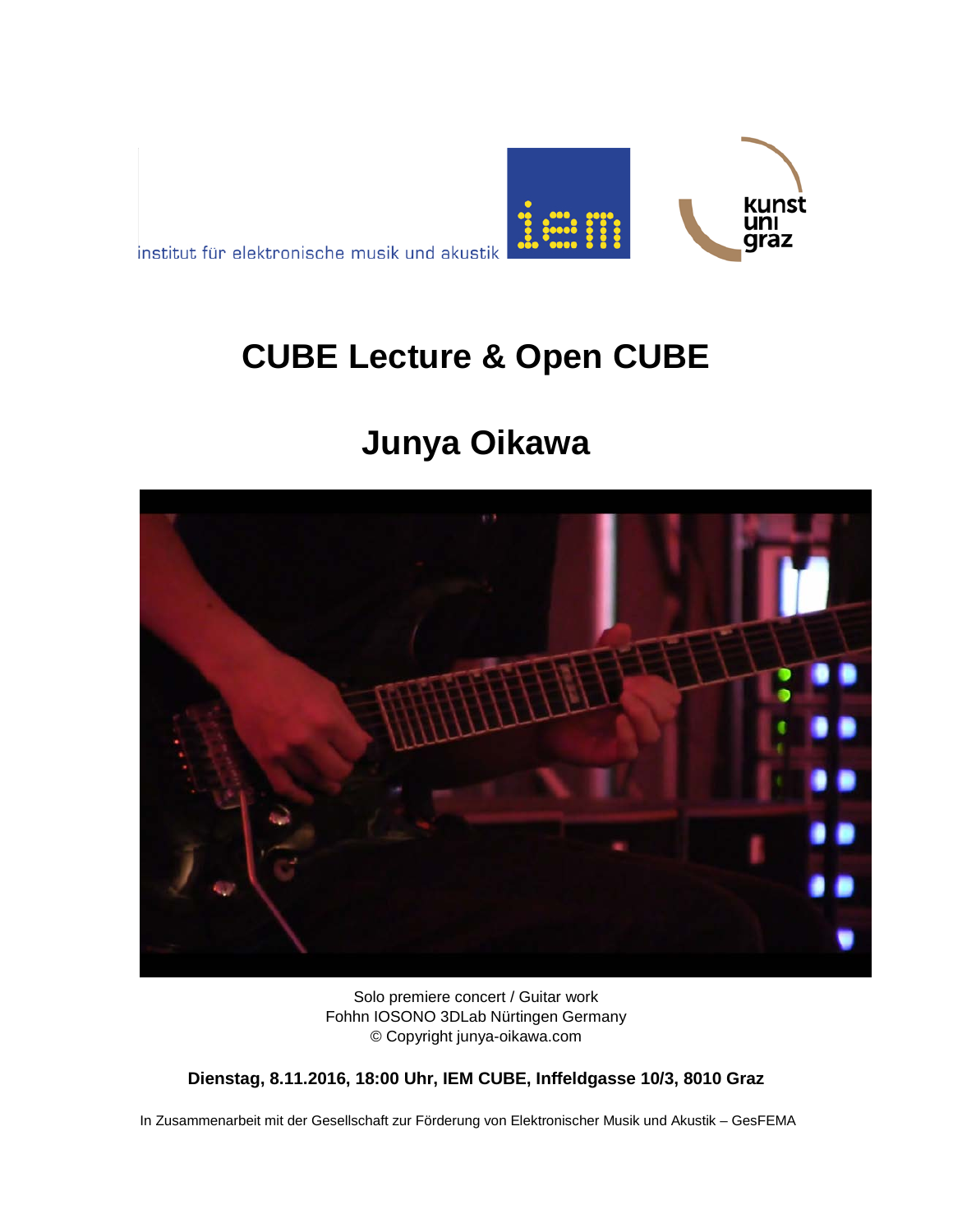

institut für elektronische musik und akustik

# **CUBE Lecture & Open CUBE**

# **Junya Oikawa**



Solo premiere concert / Guitar work Fohhn IOSONO 3DLab Nürtingen Germany © Copyright junya-oikawa.com

**Dienstag, 8.11.2016, 18:00 Uhr, IEM CUBE, Inffeldgasse 10/3, 8010 Graz**

In Zusammenarbeit mit der Gesellschaft zur Förderung von Elektronischer Musik und Akustik – GesFEMA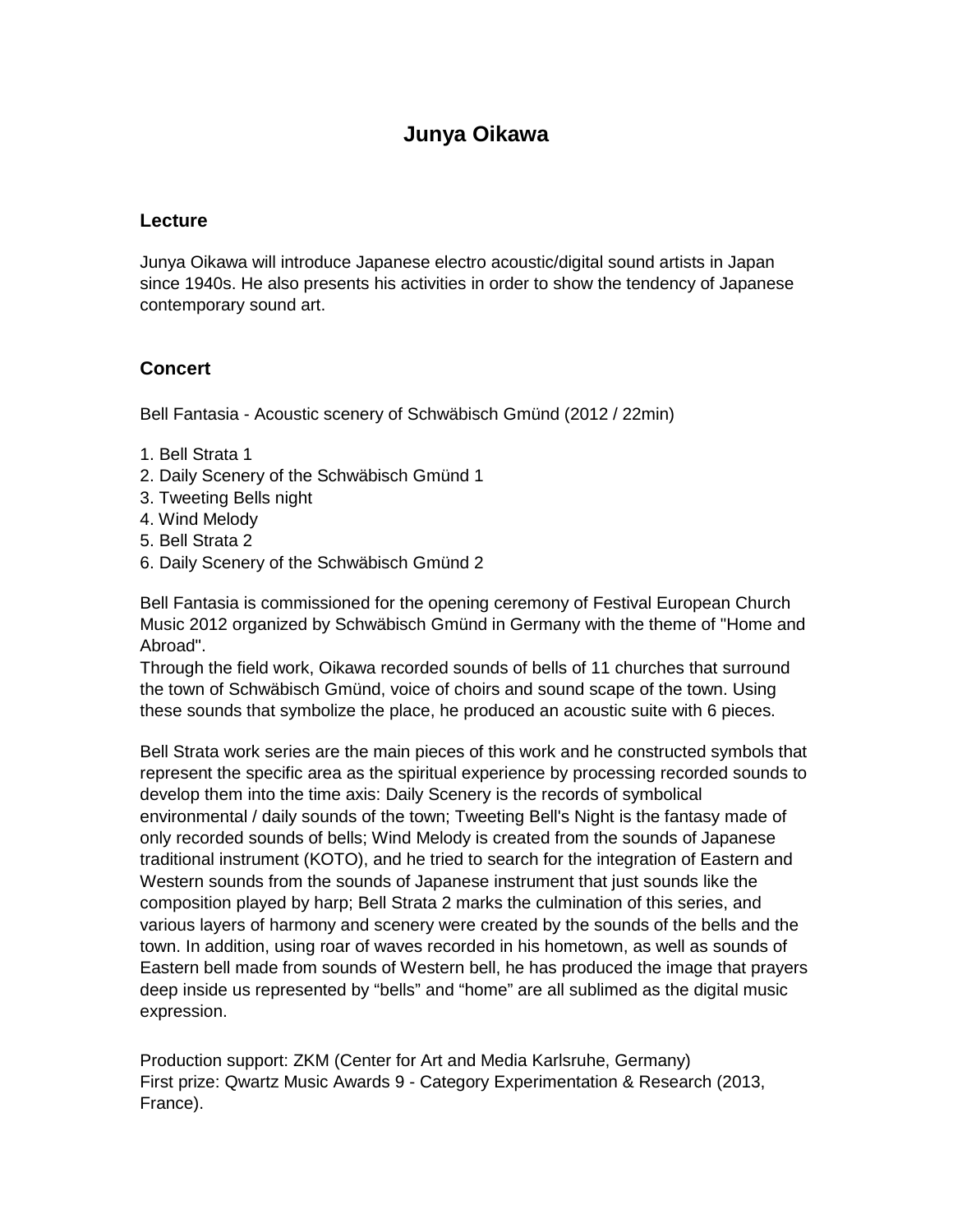### **Junya Oikawa**

#### **Lecture**

Junya Oikawa will introduce Japanese electro acoustic/digital sound artists in Japan since 1940s. He also presents his activities in order to show the tendency of Japanese contemporary sound art.

#### **Concert**

Bell Fantasia - Acoustic scenery of Schwäbisch Gmünd (2012 / 22min)

- 1. Bell Strata 1
- 2. Daily Scenery of the Schwäbisch Gmünd 1
- 3. Tweeting Bells night
- 4. Wind Melody
- 5. Bell Strata 2
- 6. Daily Scenery of the Schwäbisch Gmünd 2

Bell Fantasia is commissioned for the opening ceremony of Festival European Church Music 2012 organized by Schwäbisch Gmünd in Germany with the theme of "Home and Abroad".

Through the field work, Oikawa recorded sounds of bells of 11 churches that surround the town of Schwäbisch Gmünd, voice of choirs and sound scape of the town. Using these sounds that symbolize the place, he produced an acoustic suite with 6 pieces.

Bell Strata work series are the main pieces of this work and he constructed symbols that represent the specific area as the spiritual experience by processing recorded sounds to develop them into the time axis: Daily Scenery is the records of symbolical environmental / daily sounds of the town; Tweeting Bell's Night is the fantasy made of only recorded sounds of bells; Wind Melody is created from the sounds of Japanese traditional instrument (KOTO), and he tried to search for the integration of Eastern and Western sounds from the sounds of Japanese instrument that just sounds like the composition played by harp; Bell Strata 2 marks the culmination of this series, and various layers of harmony and scenery were created by the sounds of the bells and the town. In addition, using roar of waves recorded in his hometown, as well as sounds of Eastern bell made from sounds of Western bell, he has produced the image that prayers deep inside us represented by "bells" and "home" are all sublimed as the digital music expression.

Production support: ZKM (Center for Art and Media Karlsruhe, Germany) First prize: Qwartz Music Awards 9 - Category Experimentation & Research (2013, France).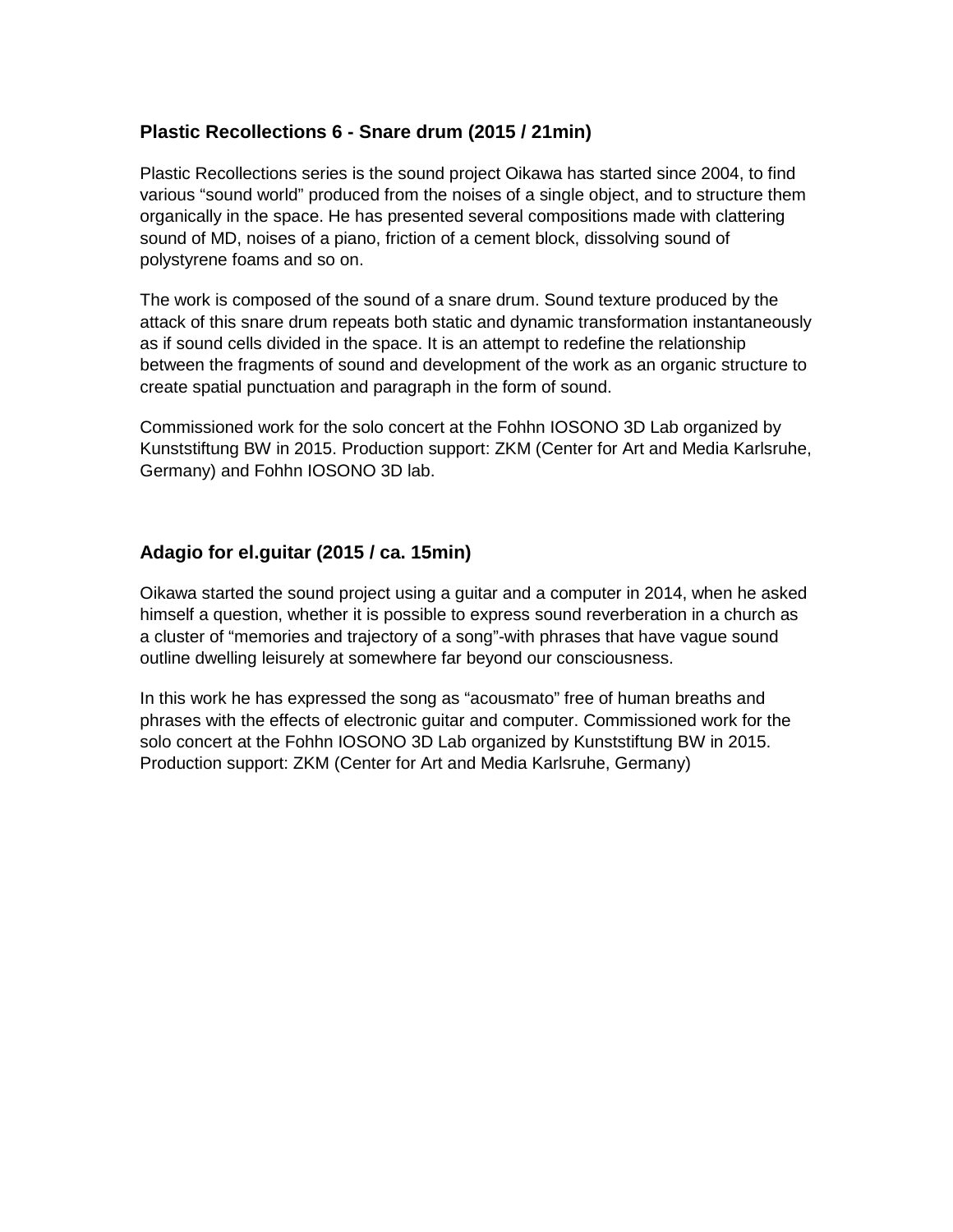#### **Plastic Recollections 6 - Snare drum (2015 / 21min)**

Plastic Recollections series is the sound project Oikawa has started since 2004, to find various "sound world" produced from the noises of a single object, and to structure them organically in the space. He has presented several compositions made with clattering sound of MD, noises of a piano, friction of a cement block, dissolving sound of polystyrene foams and so on.

The work is composed of the sound of a snare drum. Sound texture produced by the attack of this snare drum repeats both static and dynamic transformation instantaneously as if sound cells divided in the space. It is an attempt to redefine the relationship between the fragments of sound and development of the work as an organic structure to create spatial punctuation and paragraph in the form of sound.

Commissioned work for the solo concert at the Fohhn IOSONO 3D Lab organized by Kunststiftung BW in 2015. Production support: ZKM (Center for Art and Media Karlsruhe, Germany) and Fohhn IOSONO 3D lab.

#### **Adagio for el.guitar (2015 / ca. 15min)**

Oikawa started the sound project using a guitar and a computer in 2014, when he asked himself a question, whether it is possible to express sound reverberation in a church as a cluster of "memories and trajectory of a song"-with phrases that have vague sound outline dwelling leisurely at somewhere far beyond our consciousness.

In this work he has expressed the song as "acousmato" free of human breaths and phrases with the effects of electronic guitar and computer. Commissioned work for the solo concert at the Fohhn IOSONO 3D Lab organized by Kunststiftung BW in 2015. Production support: ZKM (Center for Art and Media Karlsruhe, Germany)